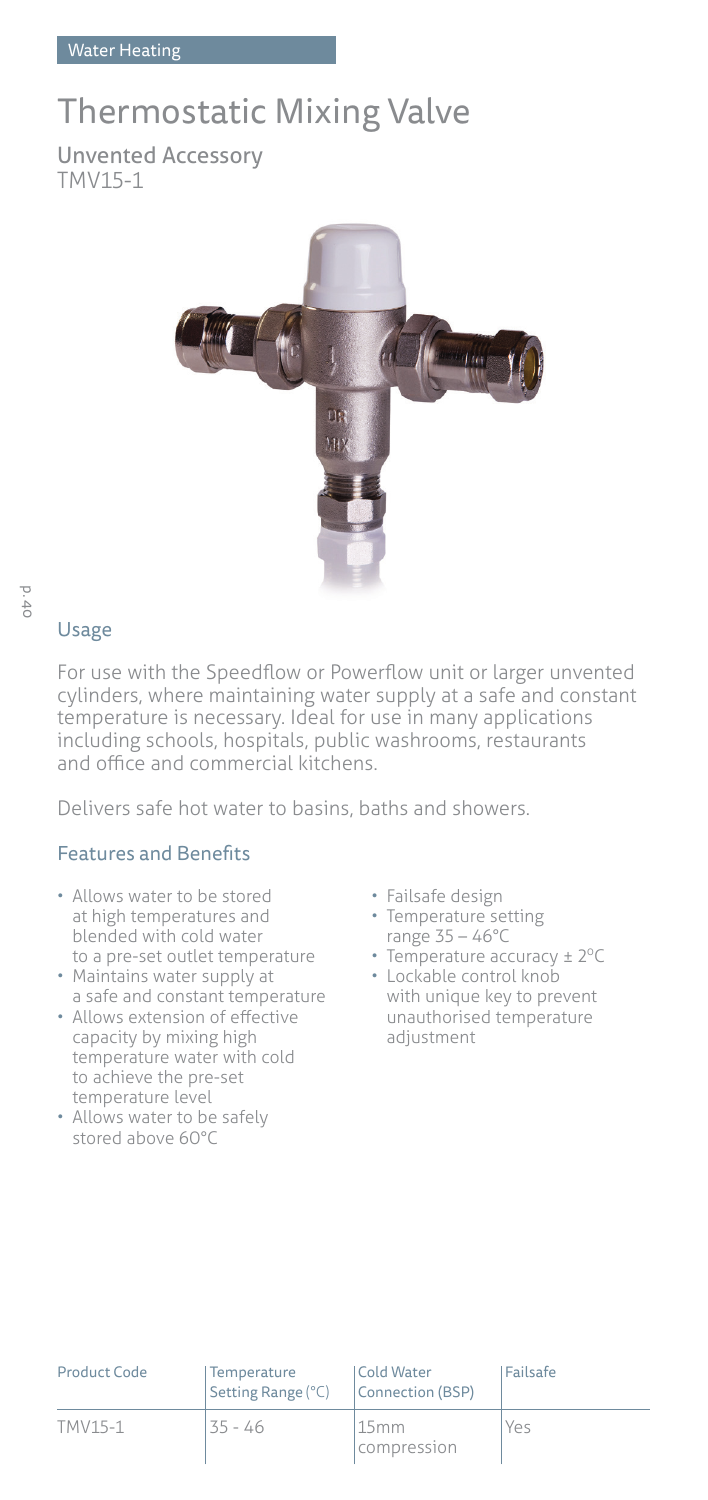## Thermostatic Mixing Valve

Unvented Accessory TMV15-1



# p. 40

## Usage

For use with the Speedflow or Powerflow unit or larger unvented cylinders, where maintaining water supply at a safe and constant temperature is necessary. Ideal for use in many applications including schools, hospitals, public washrooms, restaurants and office and commercial kitchens.

Delivers safe hot water to basins, baths and showers.

### Features and Benefits

- Allows water to be stored at high temperatures and blended with cold water to a pre-set outlet temperature
- Maintains water supply at a safe and constant temperature
- Allows extension of effective capacity by mixing high temperature water with cold to achieve the pre-set temperature level
- Allows water to be safely stored above 60°C
- Failsafe design
- Temperature setting range 35 – 46°C
- Temperature accuracy  $\pm 2^{\circ}$ C
- Lockable control knob with unique key to prevent unauthorised temperature adjustment

| <b>Product Code</b> | Temperature<br>Setting Range (°C) | Cold Water<br>Connection (BSP) | <b>Failsafe</b> |
|---------------------|-----------------------------------|--------------------------------|-----------------|
| TMV15-1             | $35 - 46$                         | 15mm<br>compression            | Yes             |